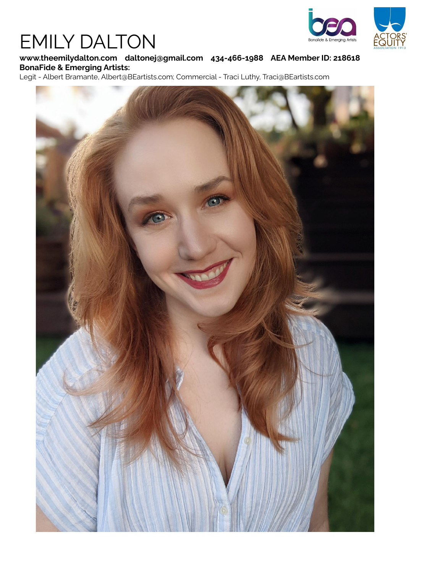# EMILY DALTON



### **www.theemilydalton.com daltonej@gmail.com 434-466-1988 AEA Member ID: 218618 BonaFide & Emerging Artists:**

Legit - Albert Bramante, Albert@BEartists.com; Commercial - Traci Luthy, Traci@BEartists.com